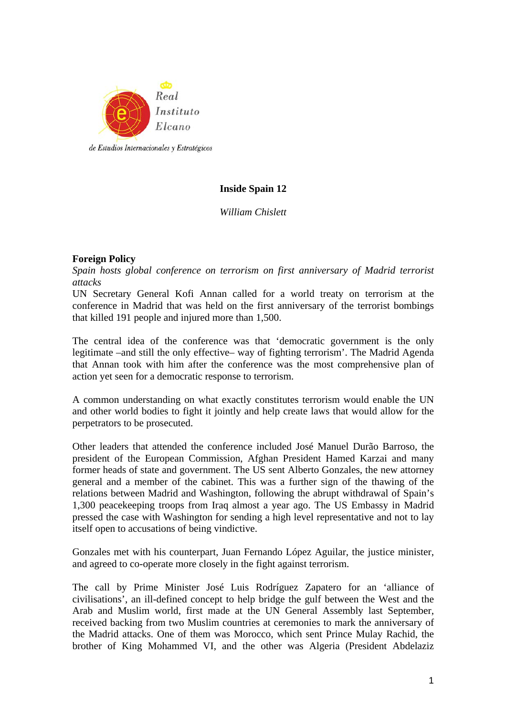

# **Inside Spain 12**

*William Chislett* 

# **Foreign Policy**

*Spain hosts global conference on terrorism on first anniversary of Madrid terrorist attacks* 

UN Secretary General Kofi Annan called for a world treaty on terrorism at the conference in Madrid that was held on the first anniversary of the terrorist bombings that killed 191 people and injured more than 1,500.

The central idea of the conference was that 'democratic government is the only legitimate –and still the only effective– way of fighting terrorism'. The Madrid Agenda that Annan took with him after the conference was the most comprehensive plan of action yet seen for a democratic response to terrorism.

A common understanding on what exactly constitutes terrorism would enable the UN and other world bodies to fight it jointly and help create laws that would allow for the perpetrators to be prosecuted.

Other leaders that attended the conference included José Manuel Durão Barroso, the president of the European Commission, Afghan President Hamed Karzai and many former heads of state and government. The US sent Alberto Gonzales, the new attorney general and a member of the cabinet. This was a further sign of the thawing of the relations between Madrid and Washington, following the abrupt withdrawal of Spain's 1,300 peacekeeping troops from Iraq almost a year ago. The US Embassy in Madrid pressed the case with Washington for sending a high level representative and not to lay itself open to accusations of being vindictive.

Gonzales met with his counterpart, Juan Fernando López Aguilar, the justice minister, and agreed to co-operate more closely in the fight against terrorism.

The call by Prime Minister José Luis Rodríguez Zapatero for an 'alliance of civilisations', an ill-defined concept to help bridge the gulf between the West and the Arab and Muslim world, first made at the UN General Assembly last September, received backing from two Muslim countries at ceremonies to mark the anniversary of the Madrid attacks. One of them was Morocco, which sent Prince Mulay Rachid, the brother of King Mohammed VI, and the other was Algeria (President Abdelaziz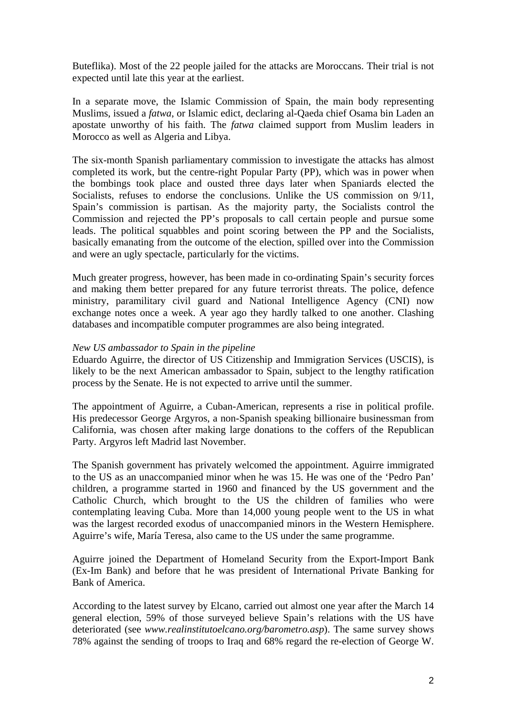Buteflika). Most of the 22 people jailed for the attacks are Moroccans. Their trial is not expected until late this year at the earliest.

In a separate move, the Islamic Commission of Spain, the main body representing Muslims, issued a *fatwa*, or Islamic edict, declaring al-Qaeda chief Osama bin Laden an apostate unworthy of his faith. The *fatwa* claimed support from Muslim leaders in Morocco as well as Algeria and Libya.

The six-month Spanish parliamentary commission to investigate the attacks has almost completed its work, but the centre-right Popular Party (PP), which was in power when the bombings took place and ousted three days later when Spaniards elected the Socialists, refuses to endorse the conclusions. Unlike the US commission on  $9/11$ , Spain's commission is partisan. As the majority party, the Socialists control the Commission and rejected the PP's proposals to call certain people and pursue some leads. The political squabbles and point scoring between the PP and the Socialists, basically emanating from the outcome of the election, spilled over into the Commission and were an ugly spectacle, particularly for the victims.

Much greater progress, however, has been made in co-ordinating Spain's security forces and making them better prepared for any future terrorist threats. The police, defence ministry, paramilitary civil guard and National Intelligence Agency (CNI) now exchange notes once a week. A year ago they hardly talked to one another. Clashing databases and incompatible computer programmes are also being integrated.

### *New US ambassador to Spain in the pipeline*

Eduardo Aguirre, the director of US Citizenship and Immigration Services (USCIS), is likely to be the next American ambassador to Spain, subject to the lengthy ratification process by the Senate. He is not expected to arrive until the summer.

The appointment of Aguirre, a Cuban-American, represents a rise in political profile. His predecessor George Argyros, a non-Spanish speaking billionaire businessman from California, was chosen after making large donations to the coffers of the Republican Party. Argyros left Madrid last November.

The Spanish government has privately welcomed the appointment. Aguirre immigrated to the US as an unaccompanied minor when he was 15. He was one of the 'Pedro Pan' children, a programme started in 1960 and financed by the US government and the Catholic Church, which brought to the US the children of families who were contemplating leaving Cuba. More than 14,000 young people went to the US in what was the largest recorded exodus of unaccompanied minors in the Western Hemisphere. Aguirre's wife, María Teresa, also came to the US under the same programme.

Aguirre joined the Department of Homeland Security from the Export-Import Bank (Ex-Im Bank) and before that he was president of International Private Banking for Bank of America.

According to the latest survey by Elcano, carried out almost one year after the March 14 general election, 59% of those surveyed believe Spain's relations with the US have deteriorated (see *www.realinstitutoelcano.org/barometro.asp*). The same survey shows 78% against the sending of troops to Iraq and 68% regard the re-election of George W.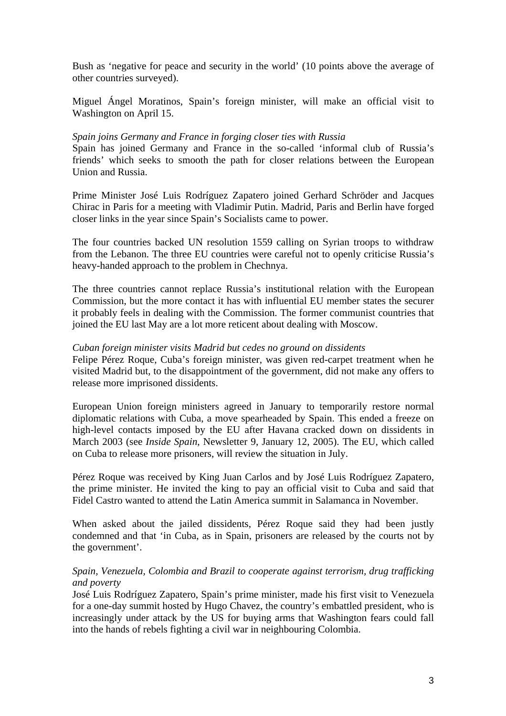Bush as 'negative for peace and security in the world' (10 points above the average of other countries surveyed).

Miguel Ángel Moratinos, Spain's foreign minister, will make an official visit to Washington on April 15.

### *Spain joins Germany and France in forging closer ties with Russia*

Spain has joined Germany and France in the so-called 'informal club of Russia's friends' which seeks to smooth the path for closer relations between the European Union and Russia.

Prime Minister José Luis Rodríguez Zapatero joined Gerhard Schröder and Jacques Chirac in Paris for a meeting with Vladimir Putin. Madrid, Paris and Berlin have forged closer links in the year since Spain's Socialists came to power.

The four countries backed UN resolution 1559 calling on Syrian troops to withdraw from the Lebanon. The three EU countries were careful not to openly criticise Russia's heavy-handed approach to the problem in Chechnya.

The three countries cannot replace Russia's institutional relation with the European Commission, but the more contact it has with influential EU member states the securer it probably feels in dealing with the Commission. The former communist countries that joined the EU last May are a lot more reticent about dealing with Moscow.

## *Cuban foreign minister visits Madrid but cedes no ground on dissidents*

Felipe Pérez Roque, Cuba's foreign minister, was given red-carpet treatment when he visited Madrid but, to the disappointment of the government, did not make any offers to release more imprisoned dissidents.

European Union foreign ministers agreed in January to temporarily restore normal diplomatic relations with Cuba, a move spearheaded by Spain. This ended a freeze on high-level contacts imposed by the EU after Havana cracked down on dissidents in March 2003 (see *Inside Spain*, Newsletter 9, January 12, 2005). The EU, which called on Cuba to release more prisoners, will review the situation in July.

Pérez Roque was received by King Juan Carlos and by José Luis Rodríguez Zapatero, the prime minister. He invited the king to pay an official visit to Cuba and said that Fidel Castro wanted to attend the Latin America summit in Salamanca in November.

When asked about the jailed dissidents, Pérez Roque said they had been justly condemned and that 'in Cuba, as in Spain, prisoners are released by the courts not by the government'.

## *Spain, Venezuela, Colombia and Brazil to cooperate against terrorism, drug trafficking and poverty*

José Luis Rodríguez Zapatero, Spain's prime minister, made his first visit to Venezuela for a one-day summit hosted by Hugo Chavez, the country's embattled president, who is increasingly under attack by the US for buying arms that Washington fears could fall into the hands of rebels fighting a civil war in neighbouring Colombia.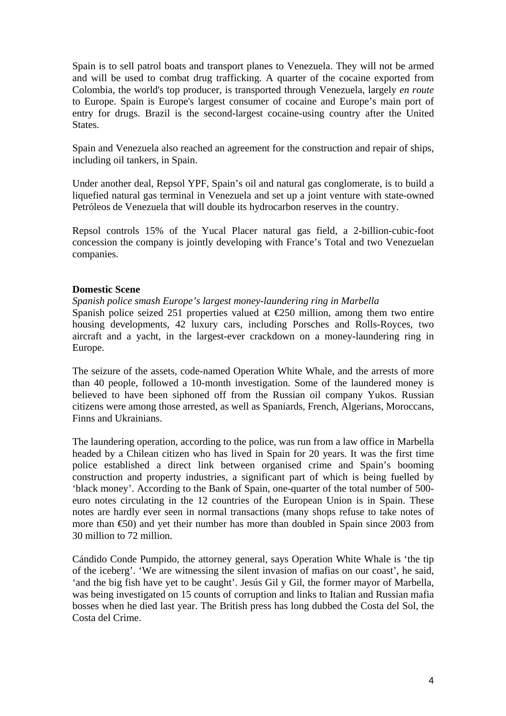Spain is to sell patrol boats and transport planes to Venezuela. They will not be armed and will be used to combat drug trafficking. A quarter of the cocaine exported from Colombia, the world's top producer, is transported through Venezuela, largely *en route*  to Europe. Spain is Europe's largest consumer of cocaine and Europe's main port of entry for drugs. Brazil is the second-largest cocaine-using country after the United **States** 

Spain and Venezuela also reached an agreement for the construction and repair of ships, including oil tankers, in Spain.

Under another deal, Repsol YPF, Spain's oil and natural gas conglomerate, is to build a liquefied natural gas terminal in Venezuela and set up a joint venture with state-owned Petróleos de Venezuela that will double its hydrocarbon reserves in the country.

Repsol controls 15% of the Yucal Placer natural gas field, a 2-billion-cubic-foot concession the company is jointly developing with France's Total and two Venezuelan companies.

## **Domestic Scene**

*Spanish police smash Europe's largest money-laundering ring in Marbella* 

Spanish police seized 251 properties valued at  $E$ 50 million, among them two entire housing developments, 42 luxury cars, including Porsches and Rolls-Royces, two aircraft and a yacht, in the largest-ever crackdown on a money-laundering ring in Europe.

The seizure of the assets, code-named Operation White Whale, and the arrests of more than 40 people, followed a 10-month investigation. Some of the laundered money is believed to have been siphoned off from the Russian oil company Yukos. Russian citizens were among those arrested, as well as Spaniards, French, Algerians, Moroccans, Finns and Ukrainians.

The laundering operation, according to the police, was run from a law office in Marbella headed by a Chilean citizen who has lived in Spain for 20 years. It was the first time police established a direct link between organised crime and Spain's booming construction and property industries, a significant part of which is being fuelled by 'black money'. According to the Bank of Spain, one-quarter of the total number of 500 euro notes circulating in the 12 countries of the European Union is in Spain. These notes are hardly ever seen in normal transactions (many shops refuse to take notes of more than €50) and yet their number has more than doubled in Spain since 2003 from 30 million to 72 million.

Cándido Conde Pumpido, the attorney general, says Operation White Whale is 'the tip of the iceberg'. 'We are witnessing the silent invasion of mafias on our coast', he said, 'and the big fish have yet to be caught'. Jesús Gil y Gil, the former mayor of Marbella, was being investigated on 15 counts of corruption and links to Italian and Russian mafia bosses when he died last year. The British press has long dubbed the Costa del Sol, the Costa del Crime.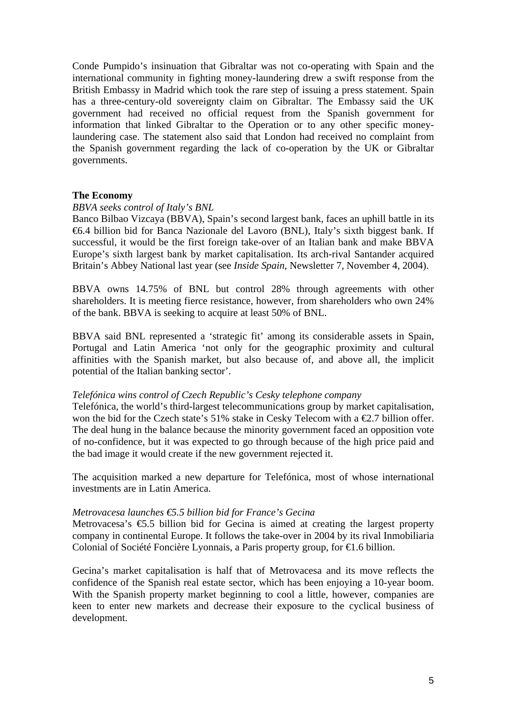Conde Pumpido's insinuation that Gibraltar was not co-operating with Spain and the international community in fighting money-laundering drew a swift response from the British Embassy in Madrid which took the rare step of issuing a press statement. Spain has a three-century-old sovereignty claim on Gibraltar. The Embassy said the UK government had received no official request from the Spanish government for information that linked Gibraltar to the Operation or to any other specific moneylaundering case. The statement also said that London had received no complaint from the Spanish government regarding the lack of co-operation by the UK or Gibraltar governments.

### **The Economy**

#### *BBVA seeks control of Italy's BNL*

Banco Bilbao Vizcaya (BBVA), Spain's second largest bank, faces an uphill battle in its €6.4 billion bid for Banca Nazionale del Lavoro (BNL), Italy's sixth biggest bank. If successful, it would be the first foreign take-over of an Italian bank and make BBVA Europe's sixth largest bank by market capitalisation. Its arch-rival Santander acquired Britain's Abbey National last year (see *Inside Spain*, Newsletter 7, November 4, 2004).

BBVA owns 14.75% of BNL but control 28% through agreements with other shareholders. It is meeting fierce resistance, however, from shareholders who own 24% of the bank. BBVA is seeking to acquire at least 50% of BNL.

BBVA said BNL represented a 'strategic fit' among its considerable assets in Spain, Portugal and Latin America 'not only for the geographic proximity and cultural affinities with the Spanish market, but also because of, and above all, the implicit potential of the Italian banking sector'.

#### *Telefónica wins control of Czech Republic's Cesky telephone company*

Telefónica, the world's third-largest telecommunications group by market capitalisation, won the bid for the Czech state's 51% stake in Cesky Telecom with a  $\epsilon$ 2.7 billion offer. The deal hung in the balance because the minority government faced an opposition vote of no-confidence, but it was expected to go through because of the high price paid and the bad image it would create if the new government rejected it.

The acquisition marked a new departure for Telefónica, most of whose international investments are in Latin America.

#### *Metrovacesa launches €5.5 billion bid for France's Gecina*

Metrovacesa's  $\epsilon$ 5.5 billion bid for Gecina is aimed at creating the largest property company in continental Europe. It follows the take-over in 2004 by its rival Inmobiliaria Colonial of Société Foncière Lyonnais, a Paris property group, for €1.6 billion.

Gecina's market capitalisation is half that of Metrovacesa and its move reflects the confidence of the Spanish real estate sector, which has been enjoying a 10-year boom. With the Spanish property market beginning to cool a little, however, companies are keen to enter new markets and decrease their exposure to the cyclical business of development.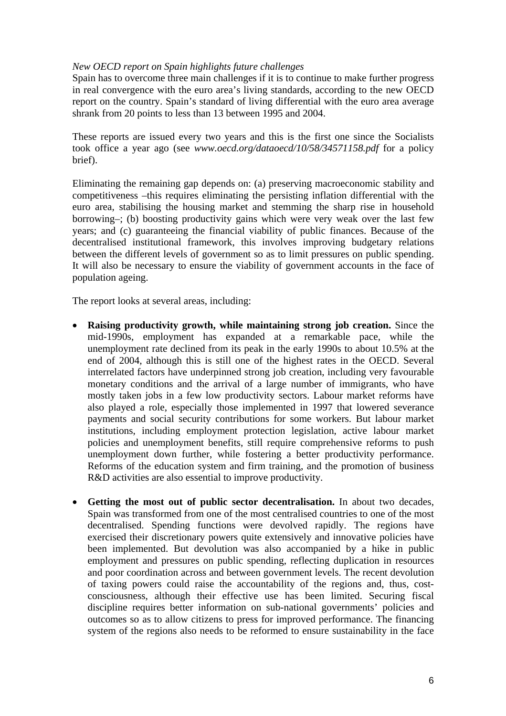### *New OECD report on Spain highlights future challenges*

Spain has to overcome three main challenges if it is to continue to make further progress in real convergence with the euro area's living standards, according to the new OECD report on the country. Spain's standard of living differential with the euro area average shrank from 20 points to less than 13 between 1995 and 2004.

These reports are issued every two years and this is the first one since the Socialists took office a year ago (see *www.oecd.org/dataoecd/10/58/34571158.pdf* for a policy brief).

Eliminating the remaining gap depends on: (a) preserving macroeconomic stability and competitiveness –this requires eliminating the persisting inflation differential with the euro area, stabilising the housing market and stemming the sharp rise in household borrowing–; (b) boosting productivity gains which were very weak over the last few years; and (c) guaranteeing the financial viability of public finances. Because of the decentralised institutional framework, this involves improving budgetary relations between the different levels of government so as to limit pressures on public spending. It will also be necessary to ensure the viability of government accounts in the face of population ageing.

The report looks at several areas, including:

- **Raising productivity growth, while maintaining strong job creation.** Since the mid-1990s, employment has expanded at a remarkable pace, while the unemployment rate declined from its peak in the early 1990s to about 10.5% at the end of 2004, although this is still one of the highest rates in the OECD. Several interrelated factors have underpinned strong job creation, including very favourable monetary conditions and the arrival of a large number of immigrants, who have mostly taken jobs in a few low productivity sectors. Labour market reforms have also played a role, especially those implemented in 1997 that lowered severance payments and social security contributions for some workers. But labour market institutions, including employment protection legislation, active labour market policies and unemployment benefits, still require comprehensive reforms to push unemployment down further, while fostering a better productivity performance. Reforms of the education system and firm training, and the promotion of business R&D activities are also essential to improve productivity.
- **Getting the most out of public sector decentralisation.** In about two decades, Spain was transformed from one of the most centralised countries to one of the most decentralised. Spending functions were devolved rapidly. The regions have exercised their discretionary powers quite extensively and innovative policies have been implemented. But devolution was also accompanied by a hike in public employment and pressures on public spending, reflecting duplication in resources and poor coordination across and between government levels. The recent devolution of taxing powers could raise the accountability of the regions and, thus, costconsciousness, although their effective use has been limited. Securing fiscal discipline requires better information on sub-national governments' policies and outcomes so as to allow citizens to press for improved performance. The financing system of the regions also needs to be reformed to ensure sustainability in the face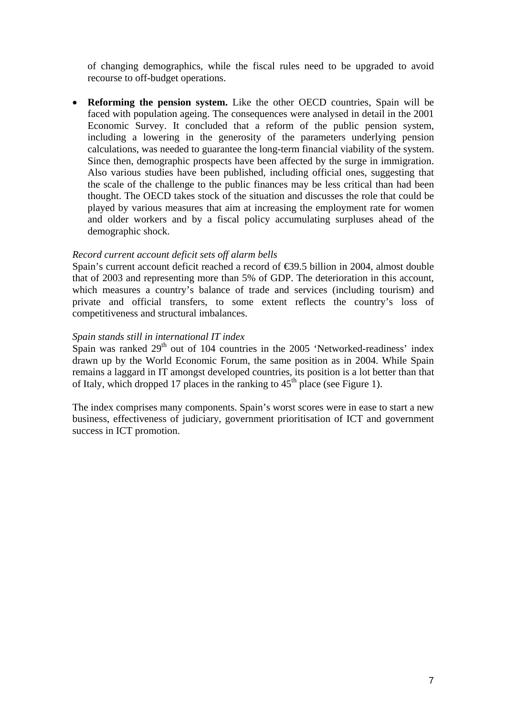of changing demographics, while the fiscal rules need to be upgraded to avoid recourse to off-budget operations.

• **Reforming the pension system.** Like the other OECD countries, Spain will be faced with population ageing. The consequences were analysed in detail in the 2001 Economic Survey. It concluded that a reform of the public pension system, including a lowering in the generosity of the parameters underlying pension calculations, was needed to guarantee the long-term financial viability of the system. Since then, demographic prospects have been affected by the surge in immigration. Also various studies have been published, including official ones, suggesting that the scale of the challenge to the public finances may be less critical than had been thought. The OECD takes stock of the situation and discusses the role that could be played by various measures that aim at increasing the employment rate for women and older workers and by a fiscal policy accumulating surpluses ahead of the demographic shock.

## *Record current account deficit sets off alarm bells*

Spain's current account deficit reached a record of €39.5 billion in 2004, almost double that of 2003 and representing more than 5% of GDP. The deterioration in this account, which measures a country's balance of trade and services (including tourism) and private and official transfers, to some extent reflects the country's loss of competitiveness and structural imbalances.

### *Spain stands still in international IT index*

Spain was ranked  $29<sup>th</sup>$  out of 104 countries in the 2005 'Networked-readiness' index drawn up by the World Economic Forum, the same position as in 2004. While Spain remains a laggard in IT amongst developed countries, its position is a lot better than that of Italy, which dropped 17 places in the ranking to  $45<sup>th</sup>$  place (see Figure 1).

The index comprises many components. Spain's worst scores were in ease to start a new business, effectiveness of judiciary, government prioritisation of ICT and government success in ICT promotion.